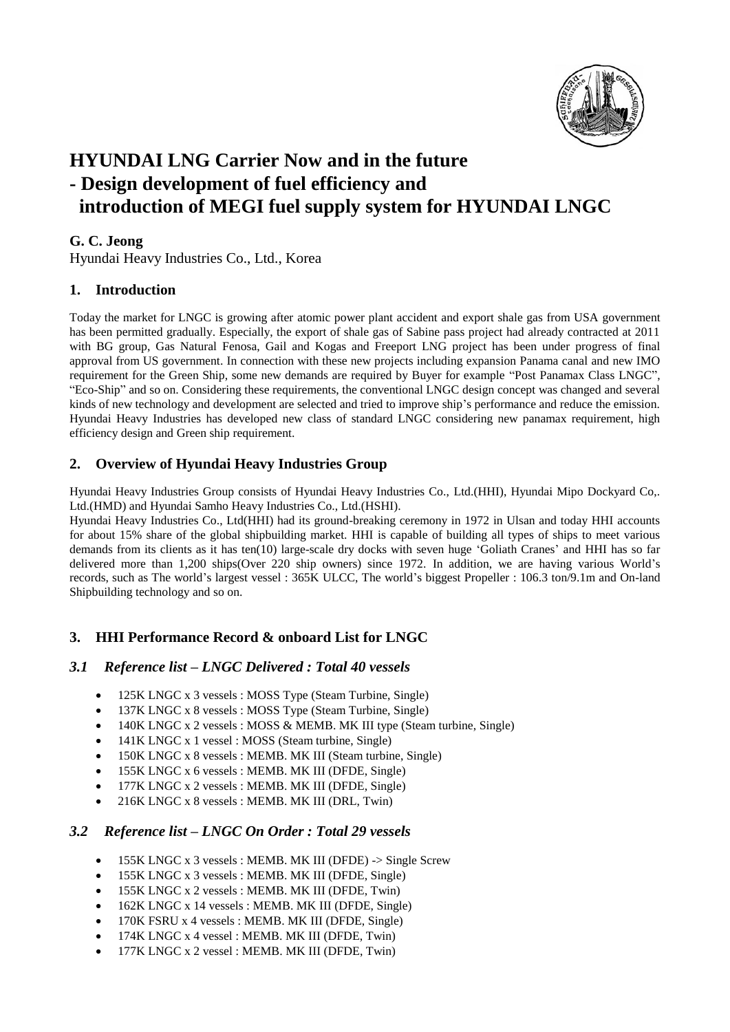

# **HYUNDAI LNG Carrier Now and in the future - Design development of fuel efficiency and introduction of MEGI fuel supply system for HYUNDAI LNGC**

### **G. C. Jeong**

Hyundai Heavy Industries Co., Ltd., Korea

#### **1. Introduction**

Today the market for LNGC is growing after atomic power plant accident and export shale gas from USA government has been permitted gradually. Especially, the export of shale gas of Sabine pass project had already contracted at 2011 with BG group, Gas Natural Fenosa, Gail and Kogas and Freeport LNG project has been under progress of final approval from US government. In connection with these new projects including expansion Panama canal and new IMO requirement for the Green Ship, some new demands are required by Buyer for example "Post Panamax Class LNGC", "Eco-Ship" and so on. Considering these requirements, the conventional LNGC design concept was changed and several kinds of new technology and development are selected and tried to improve ship's performance and reduce the emission. Hyundai Heavy Industries has developed new class of standard LNGC considering new panamax requirement, high efficiency design and Green ship requirement.

## **2. Overview of Hyundai Heavy Industries Group**

Hyundai Heavy Industries Group consists of Hyundai Heavy Industries Co., Ltd.(HHI), Hyundai Mipo Dockyard Co,. Ltd.(HMD) and Hyundai Samho Heavy Industries Co., Ltd.(HSHI).

Hyundai Heavy Industries Co., Ltd(HHI) had its ground-breaking ceremony in 1972 in Ulsan and today HHI accounts for about 15% share of the global shipbuilding market. HHI is capable of building all types of ships to meet various demands from its clients as it has ten(10) large-scale dry docks with seven huge 'Goliath Cranes' and HHI has so far delivered more than 1,200 ships(Over 220 ship owners) since 1972. In addition, we are having various World's records, such as The world's largest vessel : 365K ULCC, The world's biggest Propeller : 106.3 ton/9.1m and On-land Shipbuilding technology and so on.

## **3. HHI Performance Record & onboard List for LNGC**

#### *3.1 Reference list – LNGC Delivered : Total 40 vessels*

- 125K LNGC x 3 vessels : MOSS Type (Steam Turbine, Single)
- 137K LNGC x 8 vessels : MOSS Type (Steam Turbine, Single)
- 140K LNGC x 2 vessels : MOSS & MEMB. MK III type (Steam turbine, Single)
- 141K LNGC x 1 vessel : MOSS (Steam turbine, Single)
- 150K LNGC x 8 vessels : MEMB. MK III (Steam turbine, Single)
- 155K LNGC x 6 vessels : MEMB. MK III (DFDE, Single)
- 177K LNGC x 2 vessels : MEMB. MK III (DFDE, Single)
- 216K LNGC x 8 vessels : MEMB. MK III (DRL, Twin)

#### *3.2 Reference list – LNGC On Order : Total 29 vessels*

- 155K LNGC x 3 vessels : MEMB. MK III (DFDE) -> Single Screw
- 155K LNGC x 3 vessels : MEMB. MK III (DFDE, Single)
- 155K LNGC x 2 vessels : MEMB. MK III (DFDE, Twin)
- 162K LNGC x 14 vessels : MEMB. MK III (DFDE, Single)
- 170K FSRU x 4 vessels : MEMB. MK III (DFDE, Single)
- 174K LNGC x 4 vessel : MEMB. MK III (DFDE, Twin)
- 177K LNGC x 2 vessel : MEMB. MK III (DFDE, Twin)